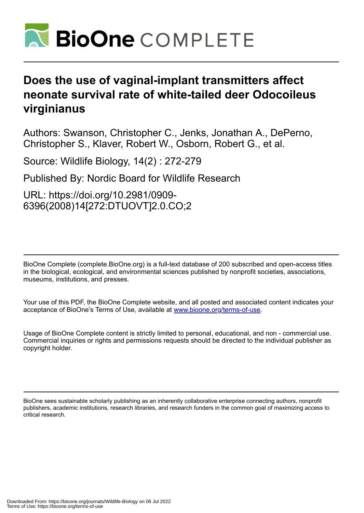

# **Does the use of vaginal-implant transmitters affect neonate survival rate of white-tailed deer Odocoileus virginianus**

Authors: Swanson, Christopher C., Jenks, Jonathan A., DePerno, Christopher S., Klaver, Robert W., Osborn, Robert G., et al.

Source: Wildlife Biology, 14(2) : 272-279

Published By: Nordic Board for Wildlife Research

URL: https://doi.org/10.2981/0909- 6396(2008)14[272:DTUOVT]2.0.CO;2

BioOne Complete (complete.BioOne.org) is a full-text database of 200 subscribed and open-access titles in the biological, ecological, and environmental sciences published by nonprofit societies, associations, museums, institutions, and presses.

Your use of this PDF, the BioOne Complete website, and all posted and associated content indicates your acceptance of BioOne's Terms of Use, available at www.bioone.org/terms-of-use.

Usage of BioOne Complete content is strictly limited to personal, educational, and non - commercial use. Commercial inquiries or rights and permissions requests should be directed to the individual publisher as copyright holder.

BioOne sees sustainable scholarly publishing as an inherently collaborative enterprise connecting authors, nonprofit publishers, academic institutions, research libraries, and research funders in the common goal of maximizing access to critical research.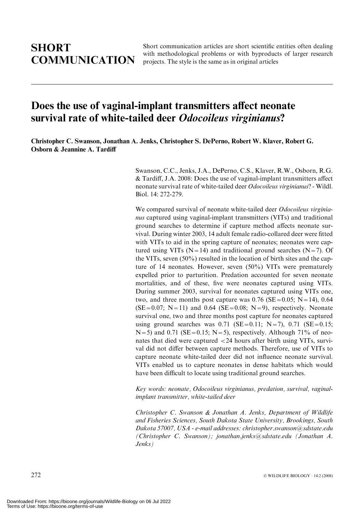Short communication articles are short scientific entities often dealing with methodological problems or with byproducts of larger research projects. The style is the same as in original articles

# Does the use of vaginal-implant transmitters affect neonate survival rate of white-tailed deer *Odocoileus virginianus*?

Christopher C. Swanson, Jonathan A. Jenks, Christopher S. DePerno, Robert W. Klaver, Robert G. Osborn & Jeannine A. Tardiff

> Swanson, C.C., Jenks, J.A., DePerno, C.S., Klaver, R.W., Osborn, R.G. & Tardiff, J.A. 2008: Does the use of vaginal-implant transmitters affect neonate survival rate of white-tailed deer Odocoileus virginianus? - Wildl. Biol. 14: 272-279.

> We compared survival of neonate white-tailed deer Odocoileus virginianus captured using vaginal-implant transmitters (VITs) and traditional ground searches to determine if capture method affects neonate survival. During winter 2003, 14 adult female radio-collared deer were fitted with VITs to aid in the spring capture of neonates; neonates were captured using VITs ( $N=14$ ) and traditional ground searches ( $N=7$ ). Of the VITs, seven (50%) resulted in the location of birth sites and the capture of 14 neonates. However, seven (50%) VITs were prematurely expelled prior to parturition. Predation accounted for seven neonate mortalities, and of these, five were neonates captured using VITs. During summer 2003, survival for neonates captured using VITs one, two, and three months post capture was  $0.76$  (SE=0.05; N=14), 0.64  $(SE=0.07; N=11)$  and 0.64  $(SE=0.08; N=9)$ , respectively. Neonate survival one, two and three months post capture for neonates captured using ground searches was  $0.71$  (SE=0.11; N=7), 0.71 (SE=0.15;  $N=5$ ) and 0.71 (SE = 0.15; N = 5), respectively. Although 71% of neonates that died were captured <24 hours after birth using VITs, survival did not differ between capture methods. Therefore, use of VITs to capture neonate white-tailed deer did not influence neonate survival. VITs enabled us to capture neonates in dense habitats which would have been difficult to locate using traditional ground searches.

> Key words: neonate, Odocoileus virginianus, predation, survival, vaginalimplant transmitter, white-tailed deer

> Christopher C. Swanson & Jonathan A. Jenks, Department of Wildlife and Fisheries Sciences, South Dakota State University, Brookings, South Dakota 57007, USA - e-mail addresses: christopher.swanson@sdstate.edu (Christopher C. Swanson); jonathan.jenks@sdstate.edu (Jonathan A. Jenks)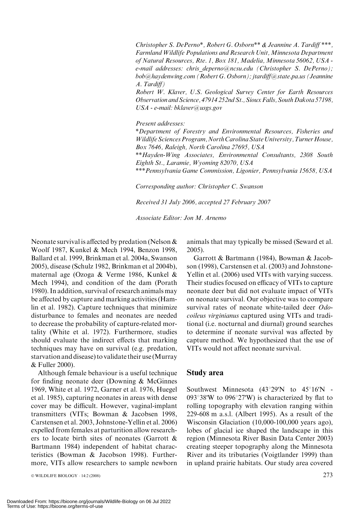Christopher S. DePerno\*, Robert G. Osborn\*\* & Jeannine A. Tardiff \*\*\*, Farmland Wildlife Populations and Research Unit, Minnesota Department of Natural Resources, Rte. 1, Box 181, Madelia, Minnesota 56062, USA e-mail addresses: chris deperno@ncsu.edu (Christopher S. DePerno); bob@haydenwing.com (Robert G. Osborn); jtardiff@state.pa.us (Jeannine A. Tardiff)

Robert W. Klaver, U.S. Geological Survey Center for Earth Resources Observation and Science, 47914 252nd St., Sioux Falls, South Dakota 57198, USA - e-mail: bklaver@usgs.gov

Present addresses:

\*Department of Forestry and Environmental Resources, Fisheries and Wildlife Sciences Program, North Carolina State University, Turner House, Box 7646, Raleigh, North Carolina 27695, USA

\*\*Hayden-Wing Associates, Environmental Consultants, 2308 South Eighth St., Laramie, Wyoming 82070, USA

\*\*\*Pennsylvania Game Commission, Ligonier, Pennsylvania 15658, USA

Corresponding author: Christopher C. Swanson

Received 31 July 2006, accepted 27 February 2007

Associate Editor: Jon M. Arnemo

Neonate survival is affected by predation (Nelson & Woolf 1987, Kunkel & Mech 1994, Benzon 1998, Ballard et al. 1999, Brinkman et al. 2004a, Swanson 2005), disease (Schulz 1982, Brinkman et al 2004b), maternal age (Ozoga & Verme 1986, Kunkel & Mech 1994), and condition of the dam (Porath 1980). In addition, survival of research animals may be affected by capture and marking activities (Hamlin et al. 1982). Capture techniques that minimize disturbance to females and neonates are needed to decrease the probability of capture-related mortality (White et al. 1972). Furthermore, studies should evaluate the indirect effects that marking techniques may have on survival (e.g. predation, starvation and disease) to validate their use (Murray & Fuller 2000).

Although female behaviour is a useful technique for finding neonate deer (Downing & McGinnes 1969, White et al. 1972, Garner et al. 1976, Huegel et al. 1985), capturing neonates in areas with dense cover may be difficult. However, vaginal-implant transmitters (VITs; Bowman & Jacobsen 1998, Carstensen et al. 2003, Johnstone-Yellin et al. 2006) expelled from females at parturition allow researchers to locate birth sites of neonates (Garrott & Bartmann 1984) independent of habitat characteristics (Bowman & Jacobson 1998). Furthermore, VITs allow researchers to sample newborn

© WILDLIFE BIOLOGY · 14:2 (2008)  $273$ 

animals that may typically be missed (Seward et al. 2005).

Garrott & Bartmann (1984), Bowman & Jacobson (1998), Carstensen et al. (2003) and Johnstone-Yellin et al. (2006) used VITs with varying success. Their studies focused on efficacy of VITs to capture neonate deer but did not evaluate impact of VITs on neonate survival. Our objective was to compare survival rates of neonate white-tailed deer Odocoileus virginianus captured using VITs and traditional (i.e. nocturnal and diurnal) ground searches to determine if neonate survival was affected by capture method. We hypothesized that the use of VITs would not affect neonate survival.

#### Study area

Southwest Minnesota  $(43^{\circ}29'N$  to  $45^{\circ}16'N$  -093 $\degree$ 38'W to 096 $\degree$ 27'W) is characterized by flat to rolling topography with elevation ranging within 229-608 m a.s.l. (Albert 1995). As a result of the Wisconsin Glaciation (10,000-100,000 years ago), lobes of glacial ice shaped the landscape in this region (Minnesota River Basin Data Center 2003) creating steeper topography along the Minnesota River and its tributaries (Voigtlander 1999) than in upland prairie habitats. Our study area covered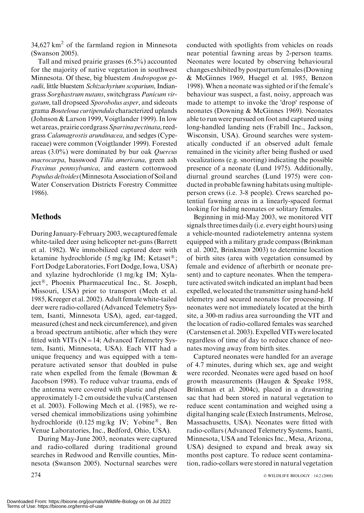$34,627$  km<sup>2</sup> of the farmland region in Minnesota (Swanson 2005).

Tall and mixed prairie grasses (6.5%) accounted for the majority of native vegetation in southwest Minnesota. Of these, big bluestem *Andropogon ge*radii, little bluestem Schizachyrium scoparium, Indiangrass Sorghastrum nutans, switchgrass Panicum virgatum, tall dropseed Sporobolus asper, and sideoats grama Bouteloua curtipendula characterized uplands (Johnson & Larson 1999, Voigtlander 1999). In low wet areas, prairie cordgrass Spartina pectinata, reedgrass Calamagrostis arundinacea, and sedges (Cyperaceae) were common (Voigtlander 1999). Forested areas (3.0%) were dominated by bur oak Quercus macrocarpa, basswood Tilia americana, green ash Fraxinus pennsylvanica, and eastern cottonwood Populus deltoides (Minnesota Association of Soil and Water Conservation Districts Forestry Committee 1986).

## **Methods**

During January-February 2003, we captured female white-tailed deer using helicopter net-guns (Barrett et al. 1982). We immobilized captured deer with ketamine hydrochloride (5 mg/kg IM; Ketaset<sup>®</sup>; FortDodge Laboratories, Fort Dodge, Iowa, USA) and xylazine hydrochloride (1 mg/kg IM; Xylaject<sup>®</sup>, Phoenix Pharmaceutical Inc., St. Joseph, Missouri, USA) prior to transport (Mech et al. 1985, Kreeger et al. 2002). Adult female white-tailed deer were radio-collared (Advanced Telemetry System, Isanti, Minnesota USA), aged, ear-tagged, measured (chest and neck circumference), and given a broad spectrum antibiotic, after which they were fitted with VITs ( $N=14$ ; Advanced Telemetry System, Isanti, Minnesota, USA). Each VIT had a unique frequency and was equipped with a temperature activated sensor that doubled in pulse rate when expelled from the female (Bowman & Jacobson 1998). To reduce vulvar trauma, ends of the antenna were covered with plastic and placed approximately 1-2 cm outside the vulva (Carstensen et al. 2003). Following Mech et al. (1985), we reversed chemical immobilizations using yohimbine hydrochloride (0.125 mg/kg IV; Yobine<sup>®</sup>, Ben Venue Laboratories, Inc., Bedford, Ohio, USA).

During May-June 2003, neonates were captured and radio-collared during traditional ground searches in Redwood and Renville counties, Minnesota (Swanson 2005). Nocturnal searches were conducted with spotlights from vehicles on roads near potential fawning areas by 2-person teams. Neonates were located by observing behavioural changes exhibited by postpartum females (Downing & McGinnes 1969, Huegel et al. 1985, Benzon 1998).When a neonate was sighted or if the female's behaviour was suspect, a fast, noisy, approach was made to attempt to invoke the 'drop' response of neonates (Downing & McGinnes 1969). Neonates able to run were pursued on foot and captured using long-handled landing nets (Frabill Inc., Jackson, Wisconsin, USA). Ground searches were systematically conducted if an observed adult female remained in the vicinity after being flushed or used vocalizations (e.g. snorting) indicating the possible presence of a neonate (Lund 1975). Additionally, diurnal ground searches (Lund 1975) were conducted in probable fawning habitats using multipleperson crews (i.e. 3-8 people). Crews searched potential fawning areas in a linearly-spaced format looking for hiding neonates or solitary females.

Beginning in mid-May 2003, we monitored VIT signals three times daily (i.e. every eight hours) using a vehicle-mounted radiotelemetry antenna system equipped with a military grade compass (Brinkman et al. 2002, Brinkman 2003) to determine location of birth sites (area with vegetation consumed by female and evidence of afterbirth or neonate present) and to capture neonates. When the temperature activated switch indicated an implant had been expelled, we located the transmitter using hand-held telemetry and secured neonates for processing. If neonates were not immediately located at the birth site, a 300-m radius area surrounding the VIT and the location of radio-collared females was searched (Carstensen et al. 2003). Expelled VITs were located regardless of time of day to reduce chance of neonates moving away from birth sites.

Captured neonates were handled for an average of 4.7 minutes, during which sex, age and weight were recorded. Neonates were aged based on hoof growth measurements (Haugen & Speake 1958, Brinkman et al. 2004c), placed in a drawstring sac that had been stored in natural vegetation to reduce scent contamination and weighed using a digital hanging scale (Extech Instruments, Melrose, Massachusetts, USA). Neonates were fitted with radio-collars (Advanced Telemetry Systems, Isanti, Minnesota, USA and Telonics Inc., Mesa, Arizona, USA) designed to expand and break away six months post capture. To reduce scent contamination, radio-collars were stored in natural vegetation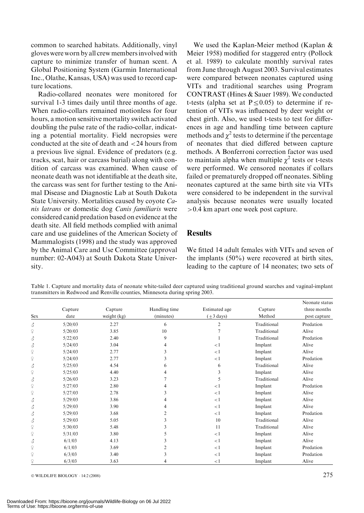common to searched habitats. Additionally, vinyl gloves were worn by all crew members involved with capture to minimize transfer of human scent. A Global Positioning System (Garmin International Inc., Olathe, Kansas, USA) was used to record capture locations.

Radio-collared neonates were monitored for survival 1-3 times daily until three months of age. When radio-collars remained motionless for four hours, a motion sensitive mortality switch activated doubling the pulse rate of the radio-collar, indicating a potential mortality. Field necropsies were conducted at the site of death and <24 hours from a previous live signal. Evidence of predators (e.g. tracks, scat, hair or carcass burial) along with condition of carcass was examined. When cause of neonate death was not identifiable at the death site, the carcass was sent for further testing to the Animal Disease and Diagnostic Lab at South Dakota State University. Mortalities caused by coyote Canis latrans or domestic dog Canis familiaris were considered canid predation based on evidence at the death site. All field methods complied with animal care and use guidelines of the American Society of Mammalogists (1998) and the study was approved by the Animal Care and Use Committee (approval number: 02-A043) at South Dakota State University.

We used the Kaplan-Meier method (Kaplan & Meier 1958) modified for staggered entry (Pollock et al. 1989) to calculate monthly survival rates from June through August 2003. Survival estimates were compared between neonates captured using VITs and traditional searches using Program CONTRAST (Hines & Sauer 1989). We conducted t-tests (alpha set at  $P \le 0.05$ ) to determine if retention of VITs was influenced by deer weight or chest girth. Also, we used t-tests to test for differences in age and handling time between capture methods and  $\chi^2$  tests to determine if the percentage of neonates that died differed between capture methods. A Bonferroni correction factor was used to maintain alpha when multiple  $\chi^2$  tests or t-tests were performed. We censored neonates if collars failed or prematurely dropped off neonates. Sibling neonates captured at the same birth site via VITs were considered to be independent in the survival analysis because neonates were usually located >0.4 km apart one week post capture.

#### **Results**

We fitted 14 adult females with VITs and seven of the implants (50%) were recovered at birth sites, leading to the capture of 14 neonates; two sets of

Table 1. Capture and mortality data of neonate white-tailed deer captured using traditional ground searches and vaginal-implant transmitters in Redwood and Renville counties, Minnesota during spring 2003.

|                           |         |             |               |                        |             | Neonate status |
|---------------------------|---------|-------------|---------------|------------------------|-------------|----------------|
|                           | Capture | Capture     | Handling time | Estimated age          | Capture     | three months   |
| Sex                       | date    | weight (kg) | (minutes)     | $(\pm 3 \text{ days})$ | Method      | post capture   |
| 3                         | 5/20/03 | 2.27        | 6             | $\overline{2}$         | Traditional | Predation      |
| $\mathsf{P}$              | 5/20/03 | 3.85        | 10            | 7                      | Traditional | Alive          |
| 3                         | 5/22/03 | 2.40        | 9             |                        | Traditional | Predation      |
| 3                         | 5/24/03 | 3.04        | 4             | <1                     | Implant     | Alive          |
| $\widetilde{\mathcal{L}}$ | 5/24/03 | 2.77        | 3             | <1                     | Implant     | Alive          |
| $\mathcal{Q}$             | 5/24/03 | 2.77        | 3             | <1                     | Implant     | Predation      |
| 3                         | 5/25/03 | 4.54        | 6             | 6                      | Traditional | Alive          |
| $\mathcal{Q}$             | 5/25/03 | 4.40        | 4             | 3                      | Implant     | Alive          |
| 3                         | 5/26/03 | 3.23        |               | 5                      | Traditional | Alive          |
| $\mathcal{Q}$             | 5/27/03 | 2.80        | 4             | <1                     | Implant     | Predation      |
| $\mathsf{P}$              | 5/27/03 | 2.78        | 3             | <1                     | Implant     | Alive          |
| 3                         | 5/29/03 | 3.86        | 4             | $\lt 1$                | Implant     | Alive          |
| 3                         | 5/29/03 | 3.90        | 4             | <1                     | Implant     | Alive          |
| 3                         | 5/29/03 | 3.68        | 2             | <1                     | Implant     | Predation      |
| 3                         | 5/29/03 | 5.05        | 3             | 10                     | Traditional | Alive          |
| $\widetilde{\mathcal{L}}$ | 5/30/03 | 5.48        | 3             | 11                     | Traditional | Alive          |
| $\mathcal{Q}$             | 5/31/03 | 3.80        | 5             | $\lt 1$                | Implant     | Alive          |
| 3                         | 6/1/03  | 4.13        | 3             | <1                     | Implant     | Alive          |
| $\mathsf{P}$              | 6/1/03  | 3.69        | 2             | <1                     | Implant     | Predation      |
| $\mathcal{Q}$             | 6/3/03  | 3.40        | 3             | <1                     | Implant     | Predation      |
| $\widetilde{+}$           | 6/3/03  | 3.63        | 4             | $\lt 1$                | Implant     | Alive          |

 $\circ$  wild life biology  $\cdot$  14:2 (2008) 275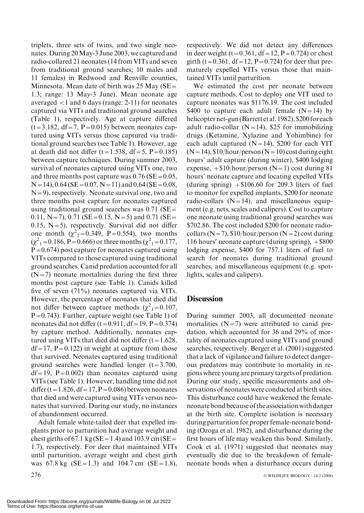triplets, three sets of twins, and two single neonates. During 20May-3 June 2003, we captured and radio-collared 21 neonates (14 from VITs and seven from traditional ground searches; 10 males and 11 females) in Redwood and Renville counties, Minnesota. Mean date of birth was 25 May ( $SE =$ 1.3; range: 13 May-3 June). Mean neonate age averaged <1 and 6 days (range: 2-11) for neonates captured via VITs and traditional ground searches (Table 1), respectively. Age at capture differed  $(t=3.182, df=7, P=0.015)$  between neonates captured using VITs versus those captured via traditional ground searches (see Table 1). However, age at death did not differ  $(t=1.538, df=5, P=0.185)$ between capture techniques. During summer 2003, survival of neonates captured using VITs one, two and three months post capture was  $0.76$  (SE =  $0.05$ ,  $N=14$ ), 0.64 (SE = 0.07, N = 11) and 0.64 (SE = 0.08,  $N=9$ ), respectively. Neonate survival one, two and three months post capture for neonates captured using traditional ground searches was  $0.71$  (SE= 0.11, N = 7), 0.71 (SE = 0.15, N = 5) and 0.71 (SE = 0.15,  $N=5$ ), respectively. Survival did not differ one month  $(\chi^2_{1} = 0.349, P = 0.554)$ , two months  $(\chi^2_{1} = 0.186, P = 0.666)$  or three months  $(\chi^2_{1} = 0.177,$  $P=0.674$ ) post capture for neonates captured using VITs compared to those captured using traditional ground searches. Canid predation accounted for all  $(N=7)$  neonate mortalities during the first three months post capture (see Table 1). Canids killed five of seven (71%) neonates captured via VITs. However, the percentage of neonates that died did not differ between capture methods  $(\chi^2_{1} = 0.107,$  $P=0.743$ ). Further, capture weight (see Table 1) of neonates did not differ  $(t=0.911, df=19, P=0.374)$ by capture method. Additionally, neonates captured using VITs that died did not differ  $(t=1.628,$  $df = 17$ ,  $P = 0.122$ ) in weight at capture from those that survived. Neonates captured using traditional ground searches were handled longer  $(t=3.700,$  $df = 19$ , P=0.002) than neonates captured using VITs (see Table 1). However, handling time did not differ (t = 1.826, df = 17, P = 0.086) between neonates that died and were captured using VITs versus neonates that survived. During our study, no instances of abandonment occurred.

Adult female white-tailed deer that expelled implants prior to parturition had average weight and chest girths of 67.1 kg ( $SE = 1.4$ ) and 103.9 cm ( $SE =$ 1.7), respectively. For deer that maintained VITs until parturition, average weight and chest girth was  $67.8 \text{ kg}$  (SE = 1.3) and 104.7 cm (SE = 1.8),

respectively. We did not detect any differences in deer weight (t=0.361, df=12, P=0.724) or chest girth (t=0.361, df=12, P=0.724) for deer that prematurely expelled VITs versus those that maintained VITs until parturition.

We estimated the cost per neonate between capture methods. Cost to deploy one VIT used to capture neonates was \$1176.19. The cost included \$400 to capture each adult female  $(N=14)$  by helicopter net-gun (Barrett et al. 1982), \$200 for each adult radio-collar  $(N=14)$ , \$25 for immobilizing drugs (Ketamine, Xylazine and Yohimbine) for each adult captured  $(N=14)$ , \$200 for each VIT  $(N=14)$ , \$10/hour/person  $(N=10)$  cost during eight hours' adult capture (during winter), \$400 lodging expense,  $+ $10/hour/person (N=1) cost during 81$ hours' neonate capture and locating expelled VITs (during spring)  $+\$106.60$  for 209.3 liters of fuel to monitor for expelled implants, \$200 for neonate radio-collars  $(N=14)$ , and miscellaneous equipment (e.g. nets, scales and calipers). Cost to capture one neonate using traditional ground searches was \$702.86. The cost included \$200 for neonate radiocollars (N=7),  $$10/hour/person$  (N=2) cost during 116 hours' neonate capture (during spring), +\$800 lodging expense, \$400 for 757.1 liters of fuel to search for neonates during traditional ground searches, and miscellaneous equipment (e.g. spotlights, scales and calipers).

#### **Discussion**

During summer 2003, all documented neonate mortalities  $(N=7)$  were attributed to canid predation, which accounted for 36 and 29% of mortality of neonates captured using VITs and ground searches, respectively. Berger et al. (2001) suggested that a lack of vigilance and failure to detect dangerous predators may contribute to mortality in regions where young are primary targets of predation. During our study, specific measurements and observations of neonates were conducted at birth sites. This disturbance could have weakened the femaleneonate bondbecause of the associationwithdanger at the birth site. Complete isolation is necessary during parturition for proper female-neonate bonding (Ozoga et al. 1982), and disturbance during the first hours of life may weaken this bond. Similarly, Cook et al. (1971) suggested that neonates may eventually die due to the breakdown of femaleneonate bonds when a disturbance occurs during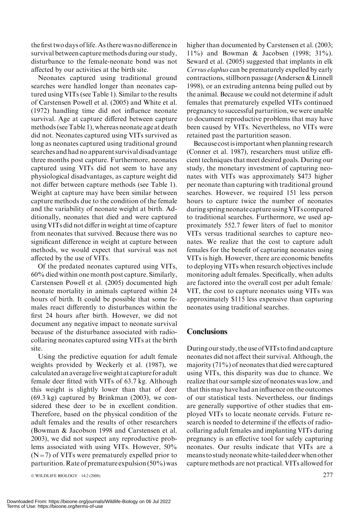the first two days oflife. As there was no difference in survival between capture methods during our study, disturbance to the female-neonate bond was not affected by our activities at the birth site.

Neonates captured using traditional ground searches were handled longer than neonates captured using VITs (see Table 1). Similar to the results of Carstensen Powell et al. (2005) and White et al. (1972) handling time did not influence neonate survival. Age at capture differed between capture methods (see Table 1), whereas neonate age at death did not. Neonates captured using VITs survived as long as neonates captured using traditional ground searches and had no apparent survival disadvantage three months post capture. Furthermore, neonates captured using VITs did not seem to have any physiological disadvantages, as capture weight did not differ between capture methods (see Table 1). Weight at capture may have been similar between capture methods due to the condition of the female and the variability of neonate weight at birth. Additionally, neonates that died and were captured using VITs did not differ in weight at time of capture from neonates that survived. Because there was no significant difference in weight at capture between methods, we would expect that survival was not affected by the use of VITs.

Of the predated neonates captured using VITs, 60% died within one month post capture. Similarly, Carstensen Powell et al. (2005) documented high neonate mortality in animals captured within 24 hours of birth. It could be possible that some females react differently to disturbances within the first 24 hours after birth. However, we did not document any negative impact to neonate survival because of the disturbance associated with radiocollaring neonates captured using VITs at the birth site.

Using the predictive equation for adult female weights provided by Weckerly et al. (1987), we calculated an averagelive weight at capture for adult female deer fitted with VITs of 63.7 kg. Although this weight is slightly lower than that of deer (69.3 kg) captured by Brinkman (2003), we considered these deer to be in excellent condition. Therefore, based on the physical condition of the adult females and the results of other researchers (Bowman & Jacobson 1998 and Carstensen et al. 2003), we did not suspect any reproductive problems associated with using VITs. However, 50%  $(N=7)$  of VITs were prematurely expelled prior to parturition. Rate of premature expulsion  $(50\%)$  was

higher than documented by Carstensen et al. (2003; 11%) and Bowman & Jacobsen (1998; 31%). Seward et al. (2005) suggested that implants in elk Cervus elaphus can be prematurely expelled by early contractions, stillborn passage (Andersen & Linnell 1998), or an extruding antenna being pulled out by the animal. Because we could not determine if adult females that prematurely expelled VITs continued pregnancy to successful parturition, we were unable to document reproductive problems that may have been caused by VITs. Nevertheless, no VITs were retained past the parturition season.

Because cost isimportant when planning research (Conner et al. 1987), researchers must utilize efficient techniques that meet desired goals. During our study, the monetary investment of capturing neonates with VITs was approximately \$473 higher per neonate than capturing with traditional ground searches. However, we required 151 less person hours to capture twice the number of neonates during spring neonate capture using VITs compared to traditional searches. Furthermore, we used approximately 552.7 fewer liters of fuel to monitor VITs versus traditional searches to capture neonates. We realize that the cost to capture adult females for the benefit of capturing neonates using VITs is high. However, there are economic benefits to deploying VITs when research objectives include monitoring adult females. Specifically, when adults are factored into the overall cost per adult female/ VIT, the cost to capture neonates using VITs was approximately \$115 less expensive than capturing neonates using traditional searches.

#### **Conclusions**

During our study, the use of VITs to find and capture neonates did not affect their survival. Although, the majority (71%) of neonates that died were captured using VITs, this disparity was due to chance. We realize that our sample size of neonates was low, and that this may have had an influence on the outcomes of our statistical tests. Nevertheless, our findings are generally supportive of other studies that employed VITs to locate neonate cervids. Future research is needed to determine if the effects of radiocollaring adult females and implanting VITs during pregnancy is an effective tool for safely capturing neonates. Our results indicate that VITs are a means to study neonatewhite-tailed deerwhen other capture methods are not practical. VITs allowed for

<sup>©</sup> WILDLIFE BIOLOGY · 14:2 (2008)  $277$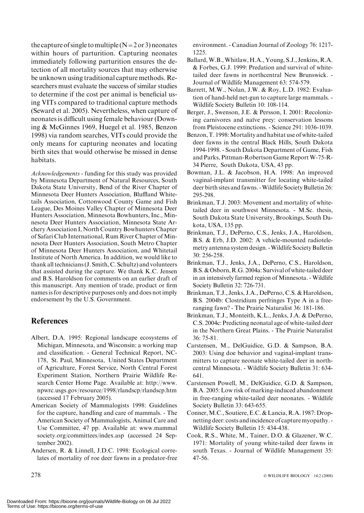the capture of single to multiple  $(N=2 \text{ or } 3)$  neonates within hours of parturition. Capturing neonates immediately following parturition ensures the detection of all mortality sources that may otherwise be unknown using traditional capture methods. Researchers must evaluate the success of similar studies to determine if the cost per animal is beneficial using VITs compared to traditional capture methods (Seward et al. 2005). Nevertheless, when capture of neonates is difficult using female behaviour (Downing & McGinnes 1969, Huegel et al. 1985, Benzon 1998) via random searches, VITs could provide the only means for capturing neonates and locating birth sites that would otherwise be missed in dense habitats.

Acknowledgements - funding for this study was provided by Minnesota Department of Natural Resources, South Dakota State University, Bend of the River Chapter of Minnesota Deer Hunters Association, Bluffland Whitetails Association, Cottonwood County Game and Fish League, Des Moines Valley Chapter of Minnesota Deer Hunters Association, Minnesota Bowhunters, Inc., Minnesota Deer Hunters Association, Minnesota State Archery Association I, North Country Bowhunters Chapter of Safari Club International, Rum River Chapter of Minnesota Deer Hunters Association, South Metro Chapter of Minnesota Deer Hunters Association, and Whitetail Institute of North America. In addition, we would like to thank all technicians (J. Smith, C. Schultz) and volunteers that assisted during the capture. We thank K.C. Jensen and B.S. Haroldson for comments on an earlier draft of this manuscript. Any mention of trade, product or firm names is for descriptive purposes only and does not imply endorsement by the U.S. Government.

## References

- Albert, D.A. 1995: Regional landscape ecosystems of Michigan, Minnesota, and Wisconsin: a working map and classification. - General Technical Report, NC-178, St. Paul, Minnesota, United States Department of Agriculture, Forest Service, North Central Forest Experiment Station, Northern Prairie Wildlife Research Center Home Page. Available at: http://www. npwrc.usgs.gov/resource/1998/rlandscp/rlandscp.htm (accessed 17 February 2005).
- American Society of Mammalogists 1998: Guidelines for the capture, handling and care of mammals. - The American Society of Mammalogists, Animal Care and Use Committee, 47 pp. Available at: www.mammal society.org/committees/index.asp (accessed 24 September 2002).
- Andersen, R. & Linnell, J.D.C. 1998: Ecological correlates of mortality of roe deer fawns in a predator-free

environment. - Canadian Journal of Zoology 76: 1217- 1225.

- Ballard,W.B.,Whitlaw, H.A., Young, S.J., Jenkins, R.A. & Forbes, G.J. 1999: Predation and survival of whitetailed deer fawns in northcentral New Brunswick. - Journal of Wildlife Management 63: 574-579.
- Barrett, M.W., Nolan, J.W. & Roy, L.D. 1982: Evaluation of hand-held net-gun to capture large mammals. - Wildlife Society Bulletin 10: 108-114.
- Berger, J., Swenson, J.E. & Persson, I. 2001: Recolonizing carnivores and naïve prey: conservation lessons from Pleistocene extinctions. - Science 291: 1036-1039.
- Benzon, T. 1998: Mortality and habitat use of white-tailed deer fawns in the central Black Hills, South Dakota 1994-1998. - South Dakota Department of Game, Fish and Parks, Pittman-Robertson Game Report W-75-R-34 Pierre, South Dakota, USA, 43 pp.
- Bowman, J.L. & Jacobson, H.A. 1998: An improved vaginal-implant transmitter for locating white-tailed deer birth sites and fawns. -Wildlife Society Bulletin 26: 295-298.
- Brinkman, T.J. 2003: Movement and mortality of whitetailed deer in southwest Minnesota. - M.Sc. thesis, South Dakota State University, Brookings, South Dakota, USA, 135 pp.
- Brinkman, T.J., DePerno, C.S., Jenks, J.A., Haroldson, B.S. & Erb, J.D. 2002: A vehicle-mounted radiotelemetry antenna system design. - Wildlife Society Bulletin 30: 256-258.
- Brinkman, T.J., Jenks, J.A., DePerno, C.S., Haroldson, B.S.&Osborn,R.G. 2004a: Survival ofwhite-tailed deer in an intensively farmed region of Minnesota. - Wildlife Society Bulletin 32: 726-731.
- Brinkman, T.J., Jenks, J.A., DePerno, C.S. & Haroldson, B.S. 2004b: Clostridium perfringes Type A in a freeranging fawn? - The Prairie Naturalist 36: 181-186.
- Brinkman, T.J., Monteith, K.L., Jenks, J.A. & DePerno, C.S. 2004c: Predicting neonatal age of white-tailed deer in the Northern Great Plains. - The Prairie Naturalist 36: 75-81.
- Carstensen, M., DelGuidice, G.D. & Sampson, B.A. 2003: Using doe behavior and vaginal-implant transmitters to capture neonate white-tailed deer in northcentral Minnesota. - Wildlife Society Bulletin 31: 634- 641.
- Carstensen Powell, M., DelGuidice, G.D. & Sampson, B.A. 2005: Low risk of marking-induced abandonment in free-ranging white-tailed deer neonates. - Wildlife Society Bulletin 33: 643-655.
- Conner,M.C., Soutiere, E.C. & Lancia, R.A. 1987: Dropnetting deer: costs and incidence of capture myopathy. -Wildlife Society Bulletin 15: 434-438.
- Cook, R.S., White, M., Tainer, D.O. & Glazener, W.C. 1971: Mortality of young white-tailed deer fawns in south Texas. - Journal of Wildlife Management 35: 47-56.